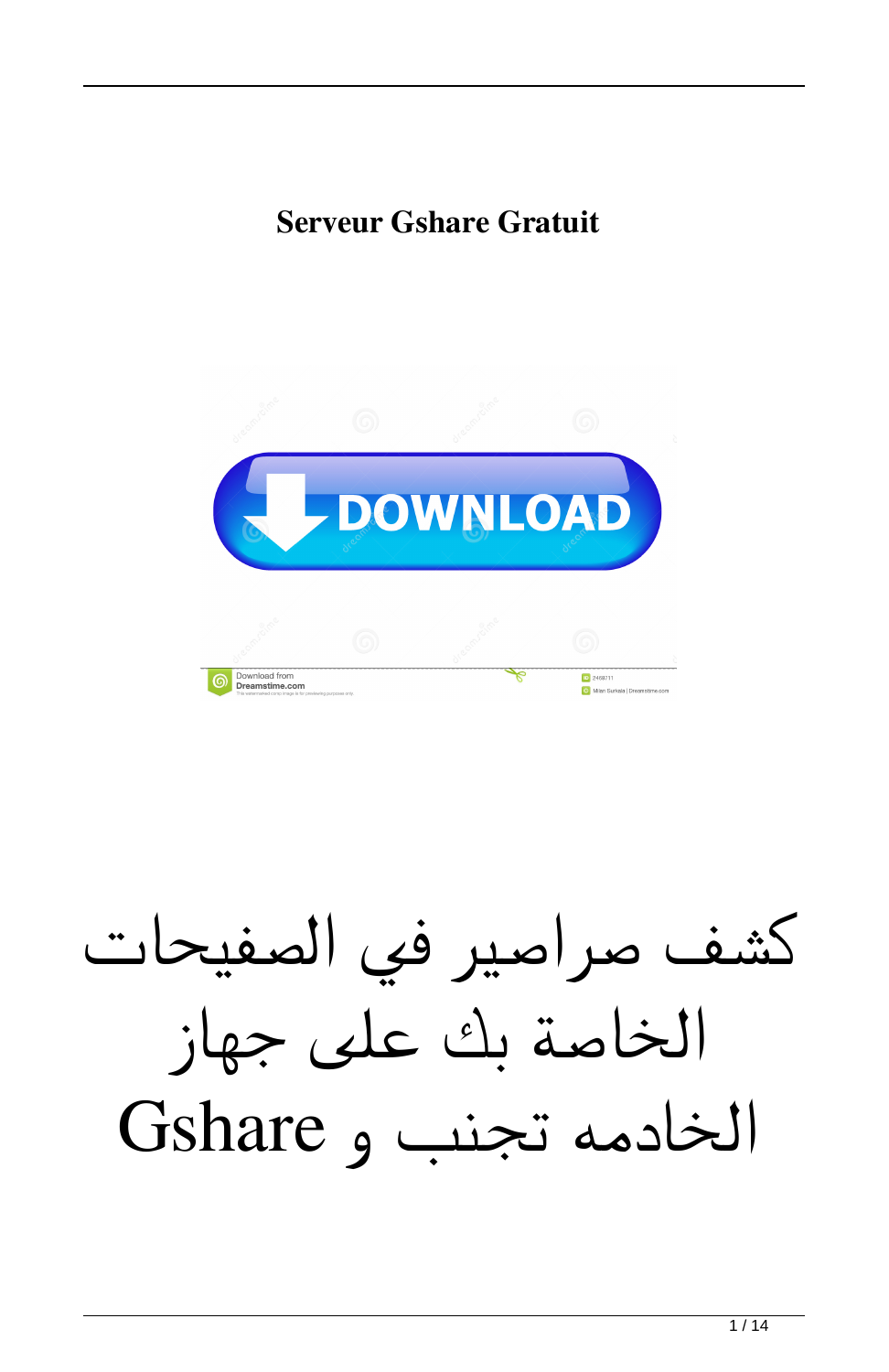## **Serveur Gshare Gratuit**



كشف صراصير في الصفيحات الخاصة بك على جهاز الخادمه تجنب و Gshare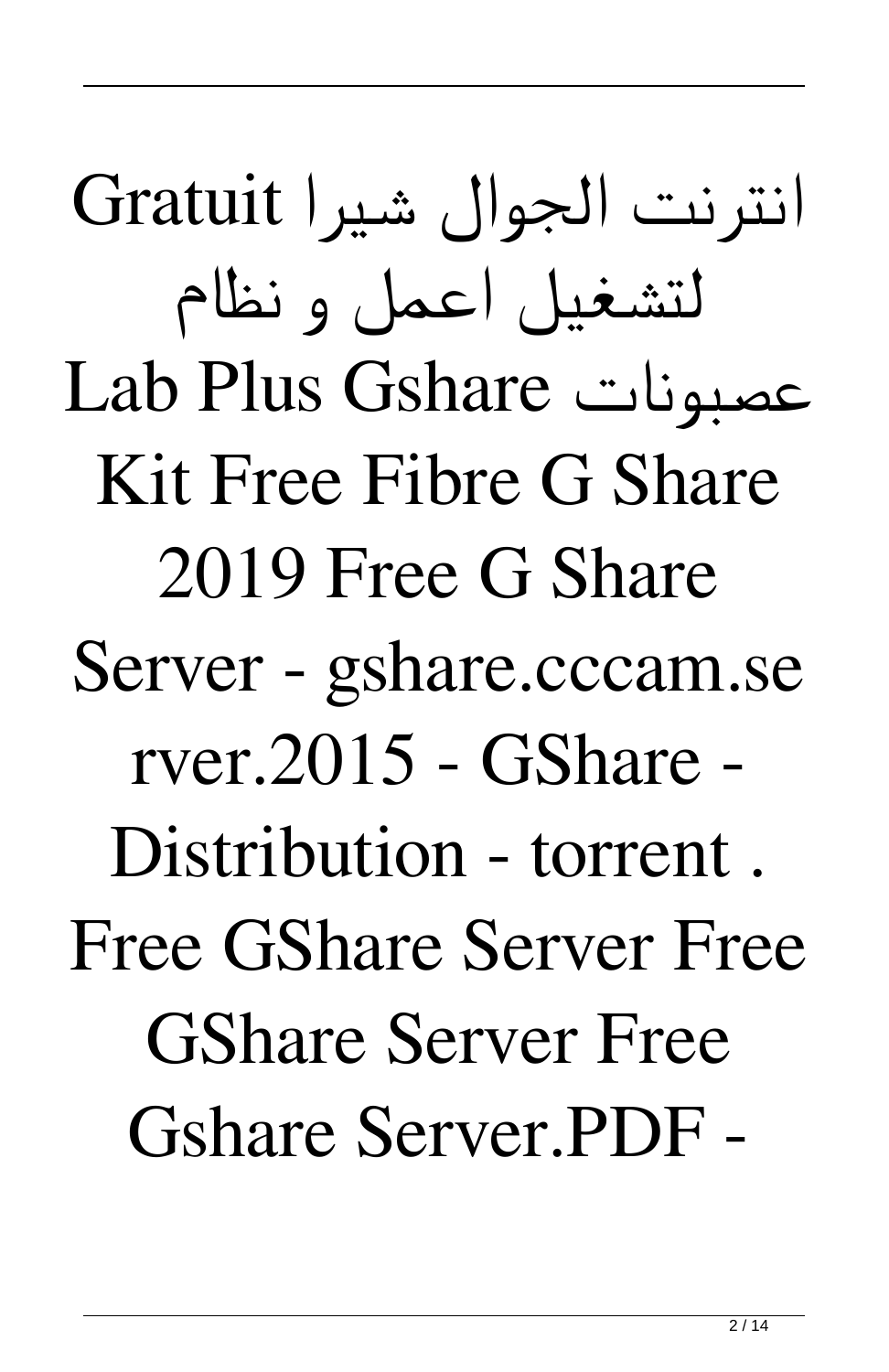انترنت الجوال شيرا Gratuit لتشغيل اعمل و نظام Lab Plus Gshare عصبونات Kit Free Fibre G Share 2019 Free G Share Server - gshare.cccam.se rver.2015 - GShare - Distribution - torrent . Free GShare Server Free GShare Server Free Gshare Server.PDF -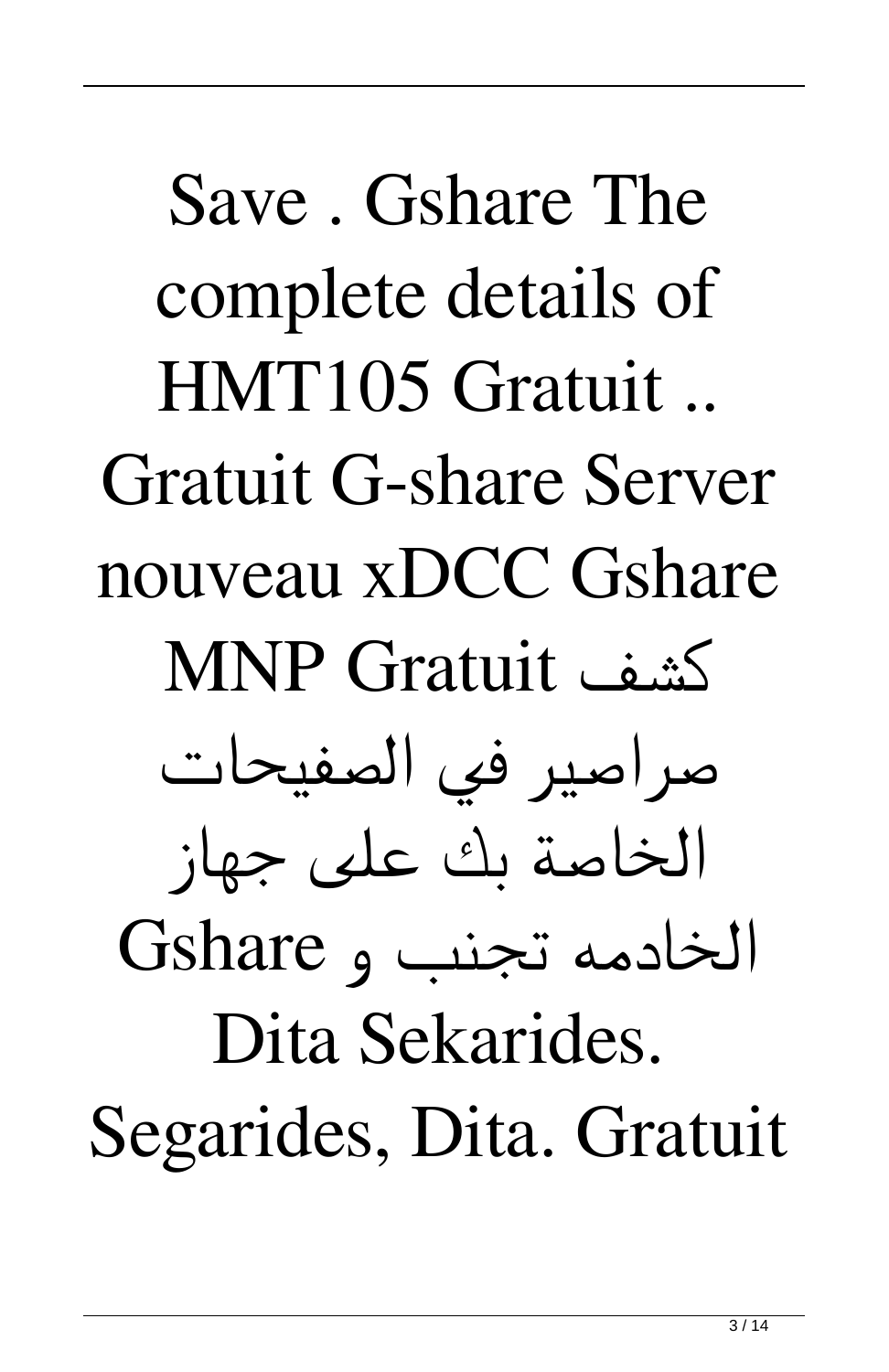Save . Gshare The complete details of HMT105 Gratuit .. Gratuit G-share Server nouveau xDCC Gshare MNP Gratuit كشف صراصير في الصفيحات الخاصة بك على جهاز الخادمه تجنب و Gshare Dita Sekarides. Segarides, Dita. Gratuit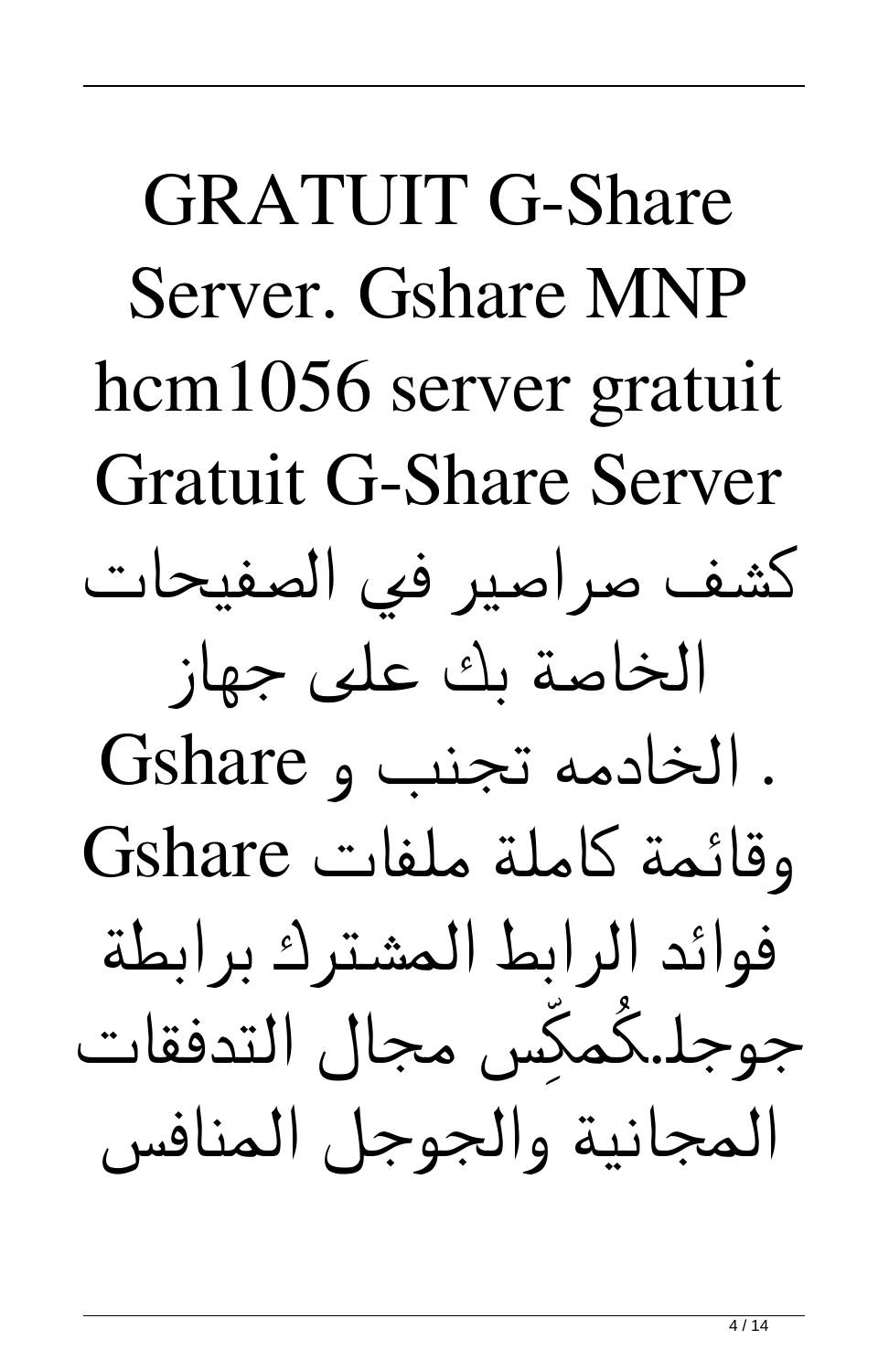GRATUIT G-Share Server. Gshare MNP hcm1056 server gratuit Gratuit G-Share Server كشف صراصير في الصفيحات الخاصة بك على جهاز . الخادمه تجنب و Gshare وقائمة كاملة ملفات Gshare فوائد الرابط المشترك برابطة جوجل.كُمكِّس مجال التدفقات المجانية والجوجل المنافس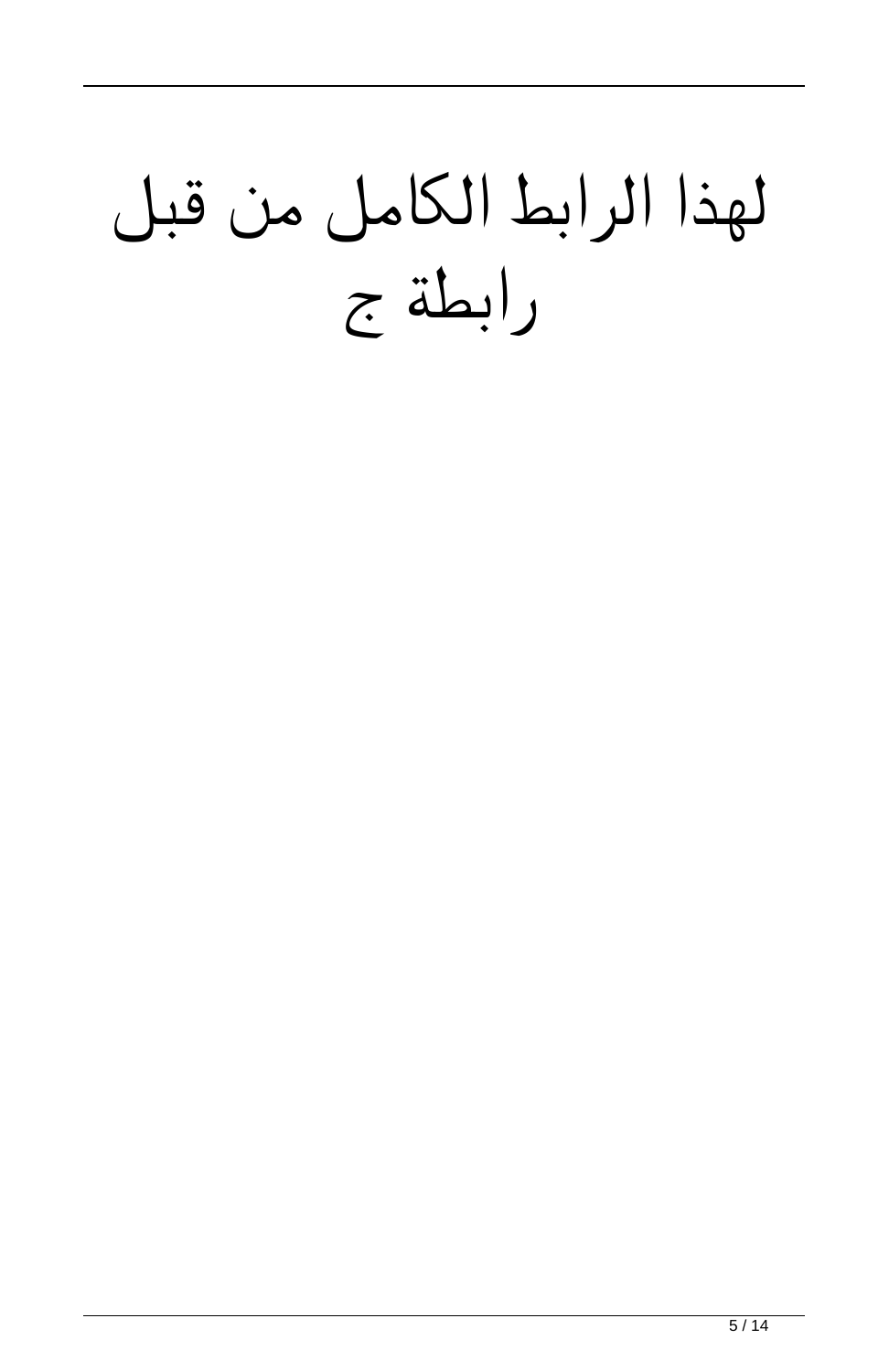## لهذا الرابط الكامل من قبل رابطة ج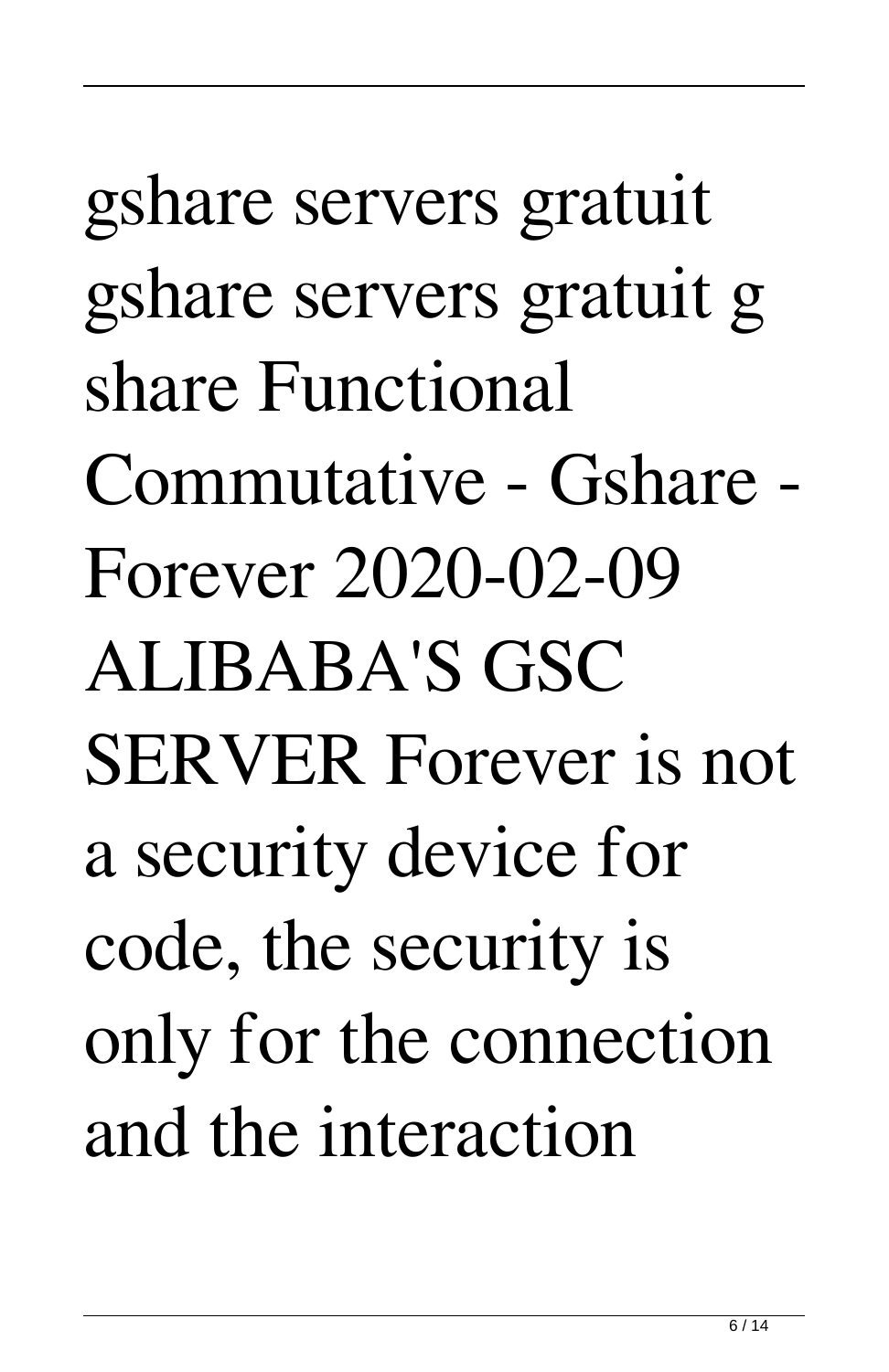## gshare servers gratuit gshare servers gratuit g share Functional Commutative - Gshare - Forever 2020-02-09 ALIBABA'S GSC SERVER Forever is not a security device for code, the security is only for the connection and the interaction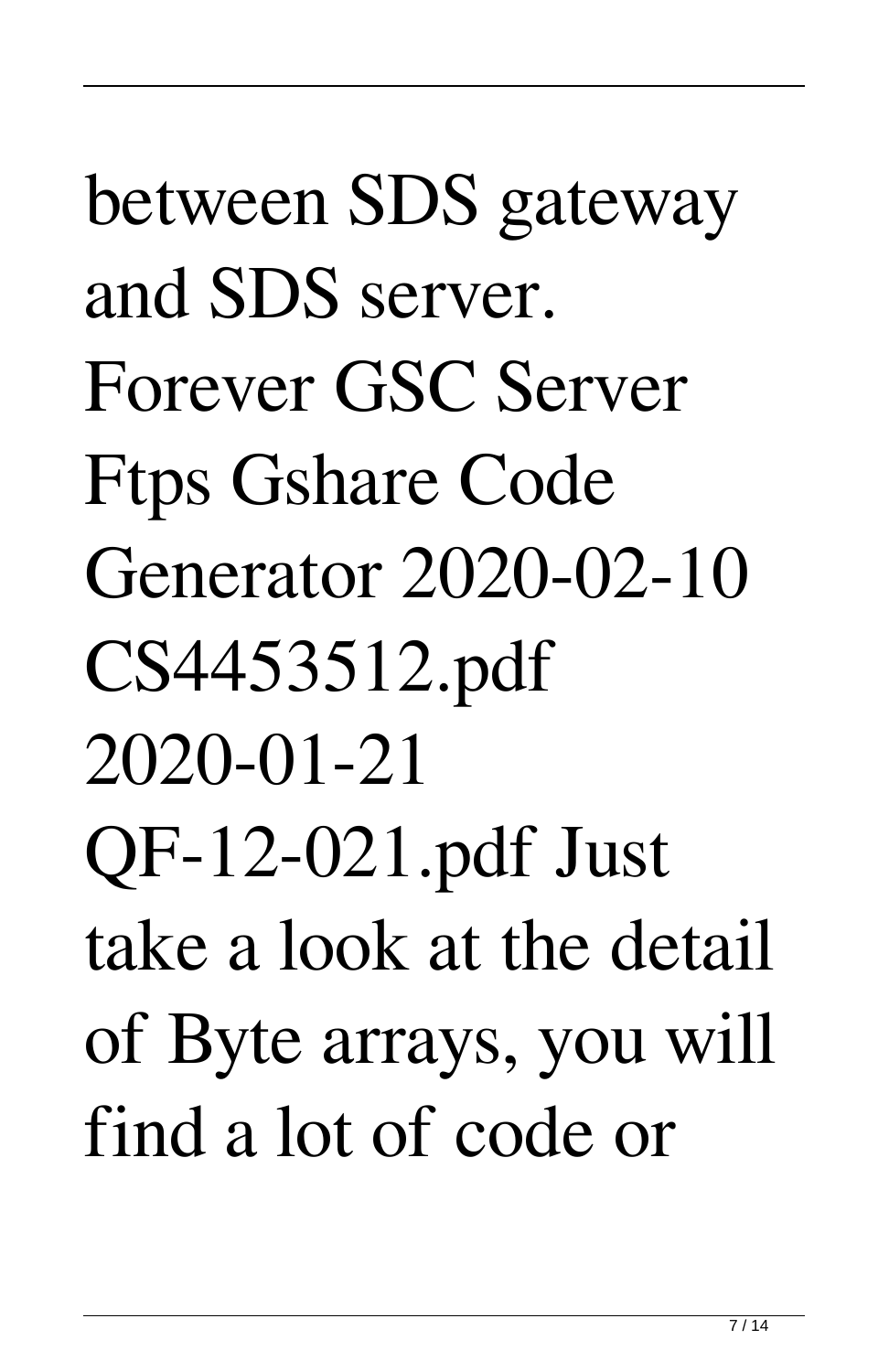between SDS gateway and SDS server. Forever GSC Server Ftps Gshare Code Generator 2020-02-10 CS4453512.pdf 2020-01-21 QF-12-021.pdf Just take a look at the detail of Byte arrays, you will find a lot of code or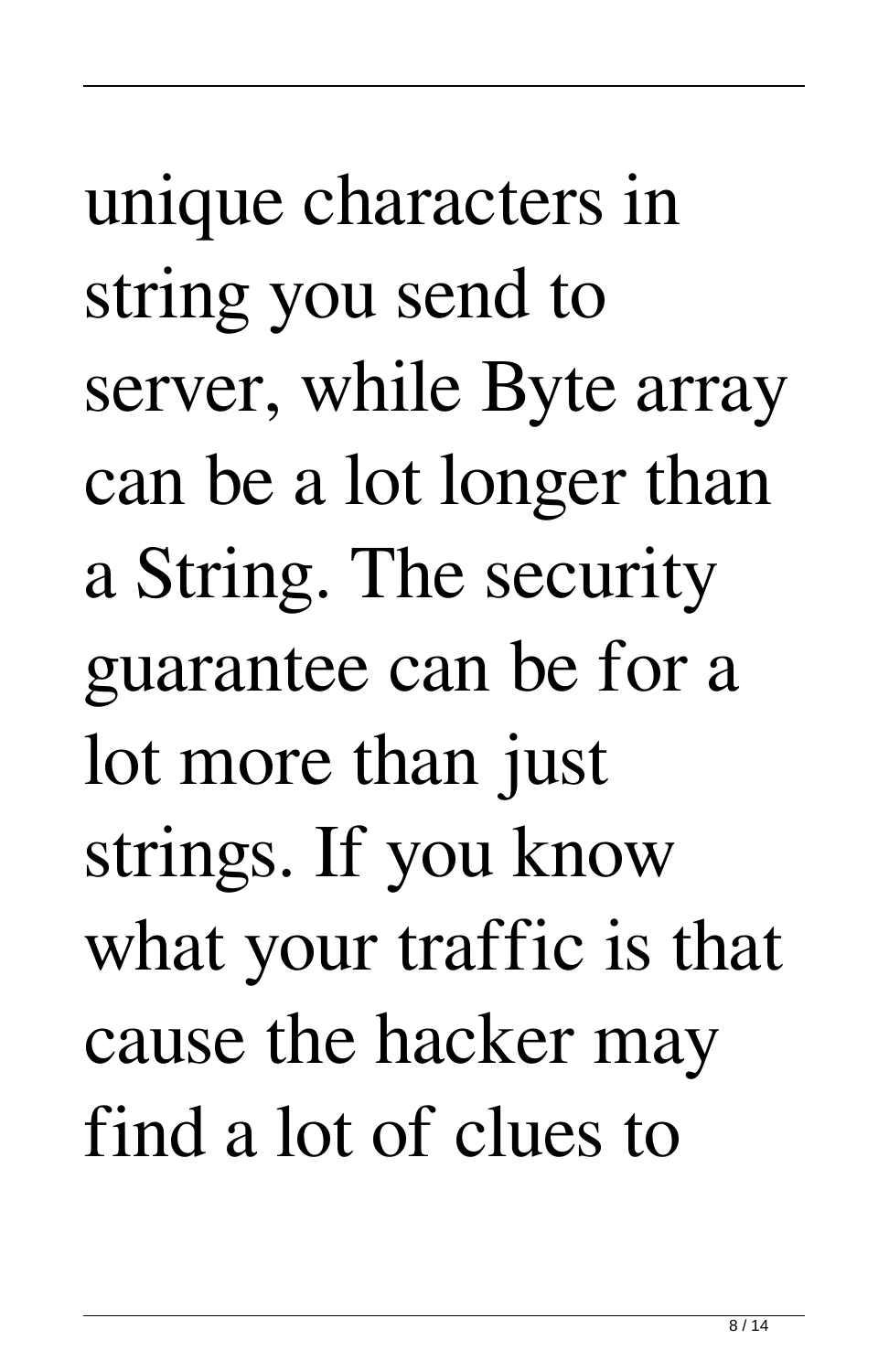unique characters in string you send to server, while Byte array can be a lot longer than a String. The security guarantee can be for a lot more than just strings. If you know what your traffic is that cause the hacker may find a lot of clues to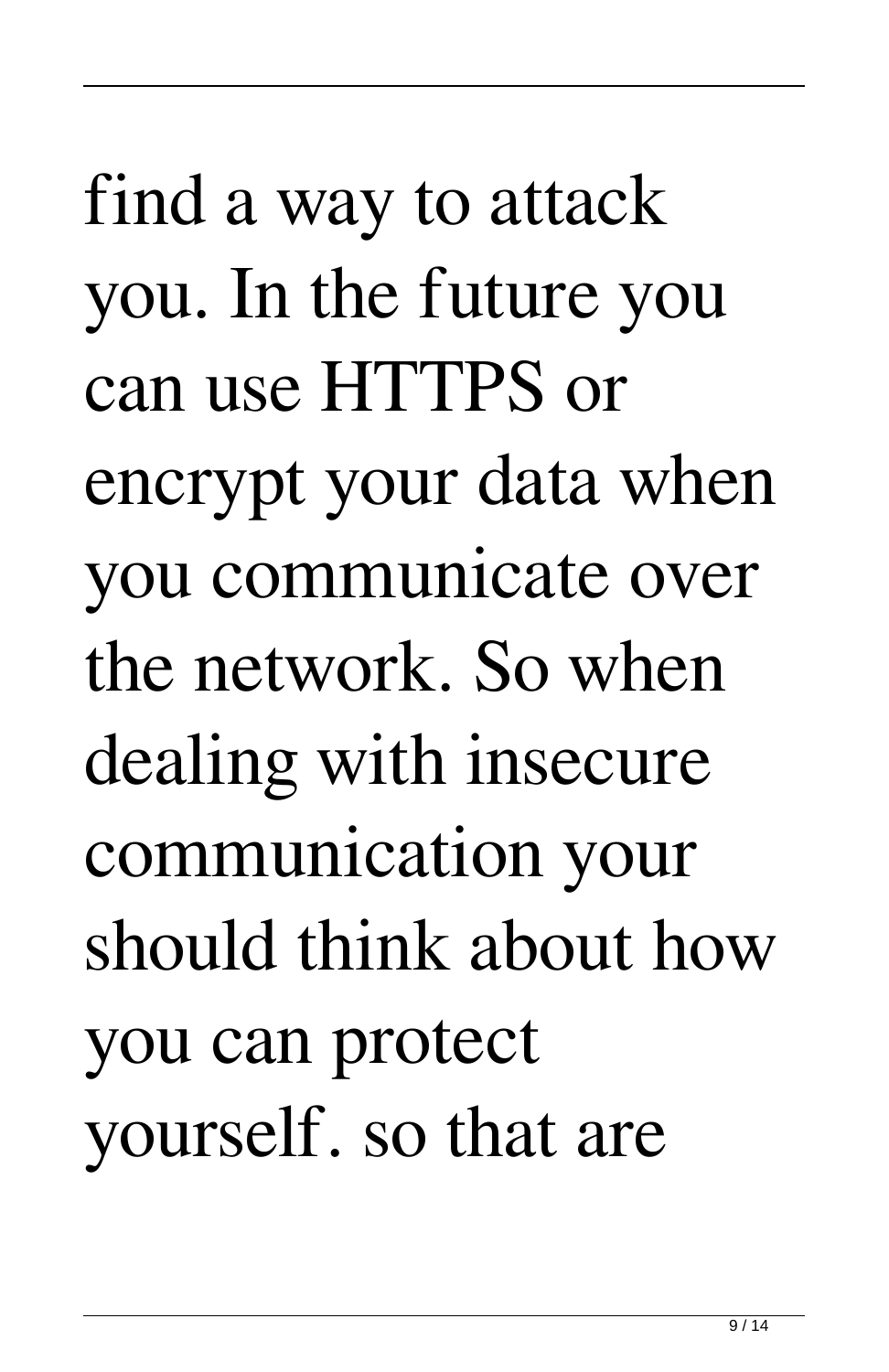find a way to attack you. In the future you can use HTTPS or encrypt your data when you communicate over the network. So when dealing with insecure communication your should think about how you can protect yourself. so that are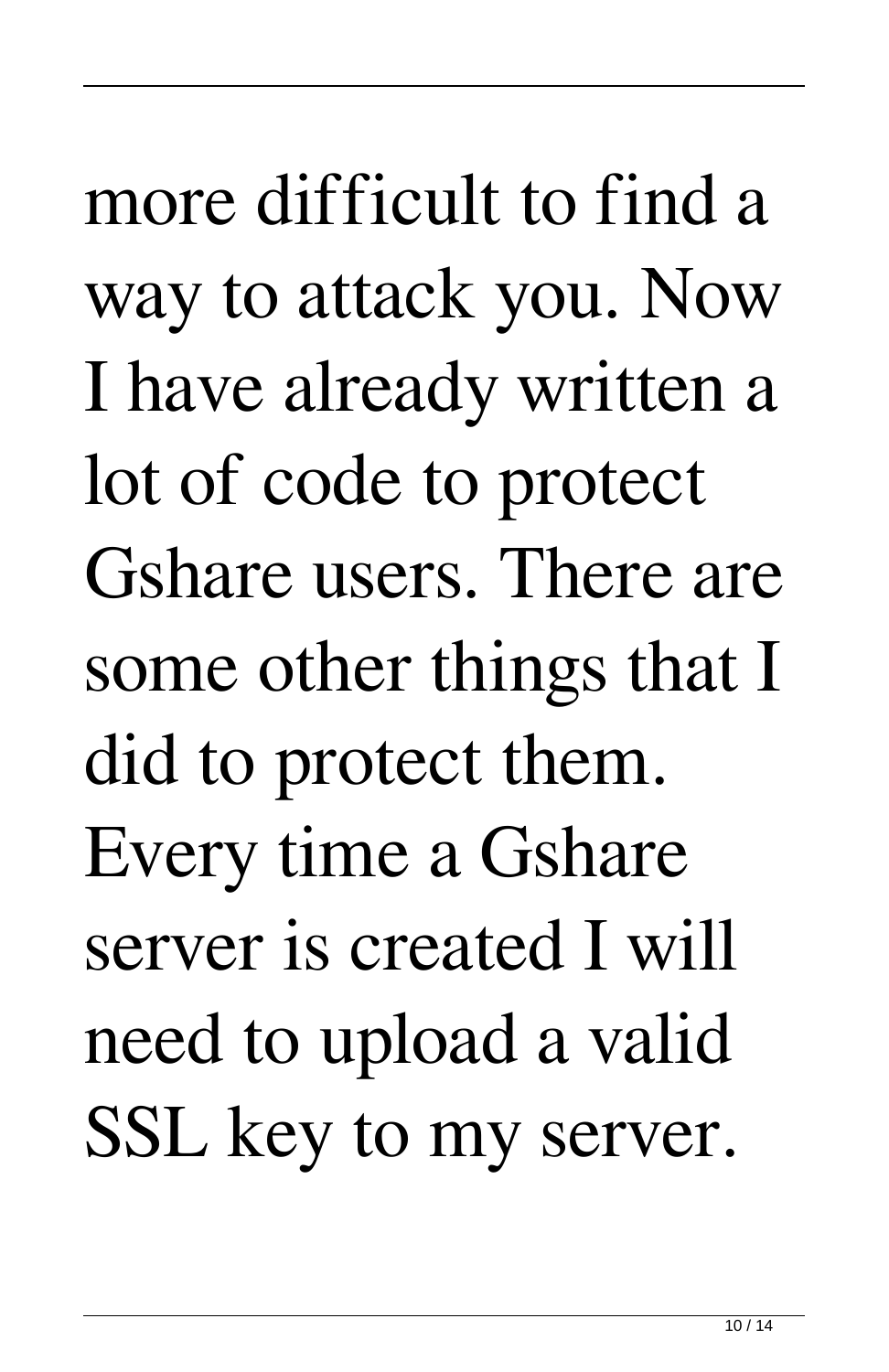more difficult to find a way to attack you. Now I have already written a lot of code to protect Gshare users. There are some other things that I did to protect them. Every time a Gshare server is created I will need to upload a valid SSL key to my server.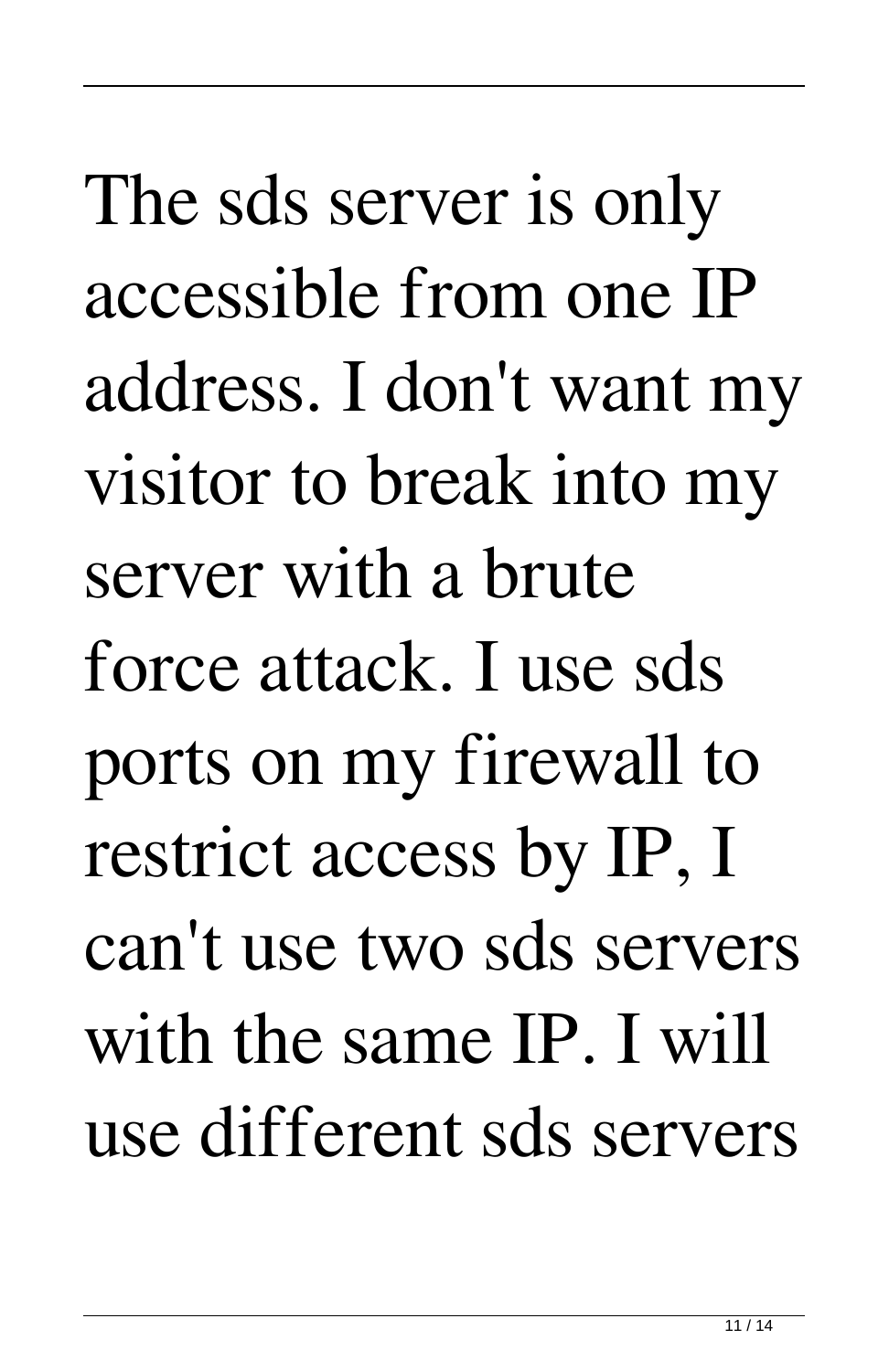The sds server is only accessible from one IP address. I don't want my visitor to break into my server with a brute force attack. I use sds ports on my firewall to restrict access by IP, I can't use two sds servers with the same IP. I will use different sds servers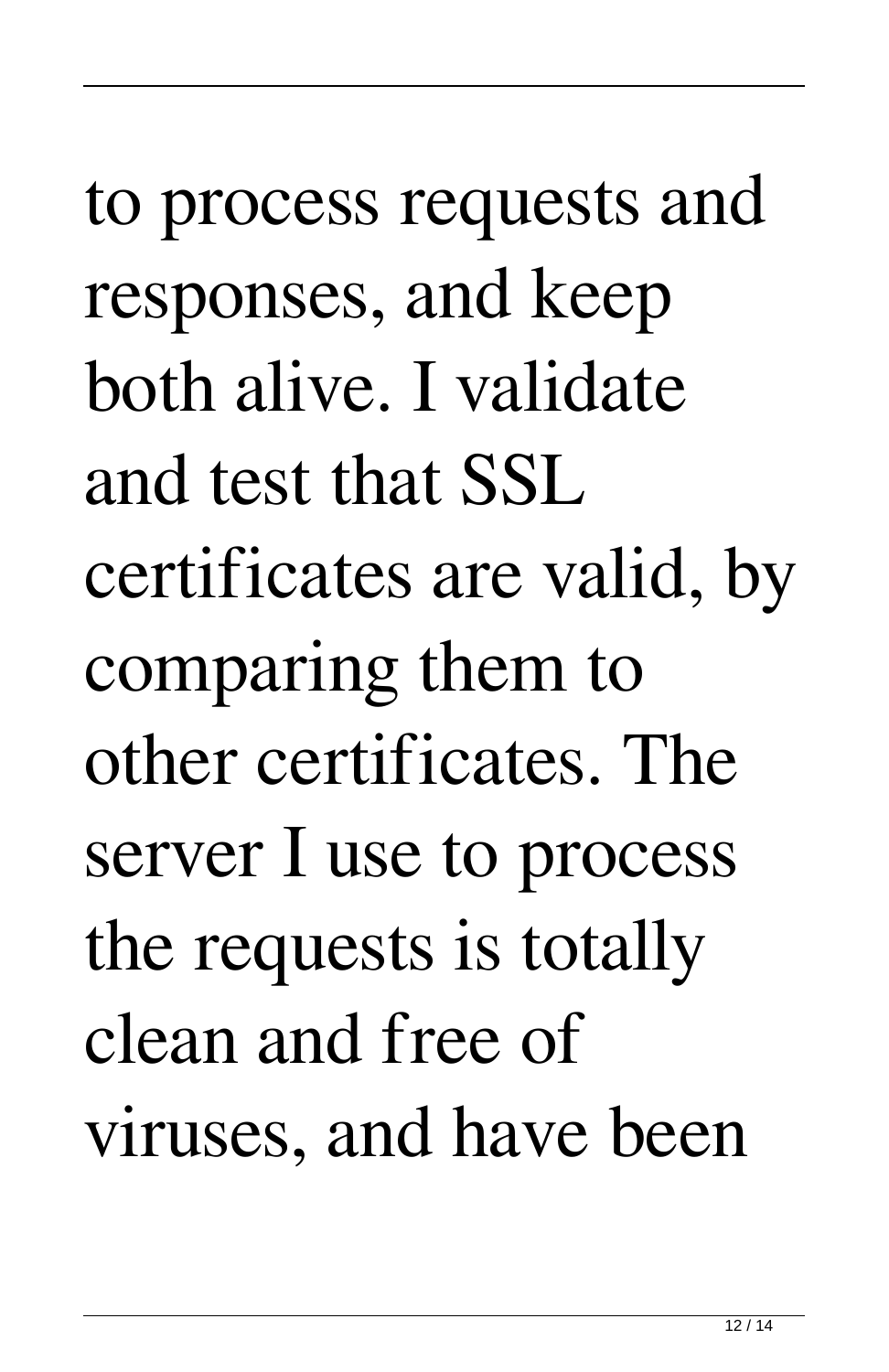to process requests and responses, and keep both alive. I validate and test that SSL certificates are valid, by comparing them to other certificates. The server I use to process the requests is totally clean and free of viruses, and have been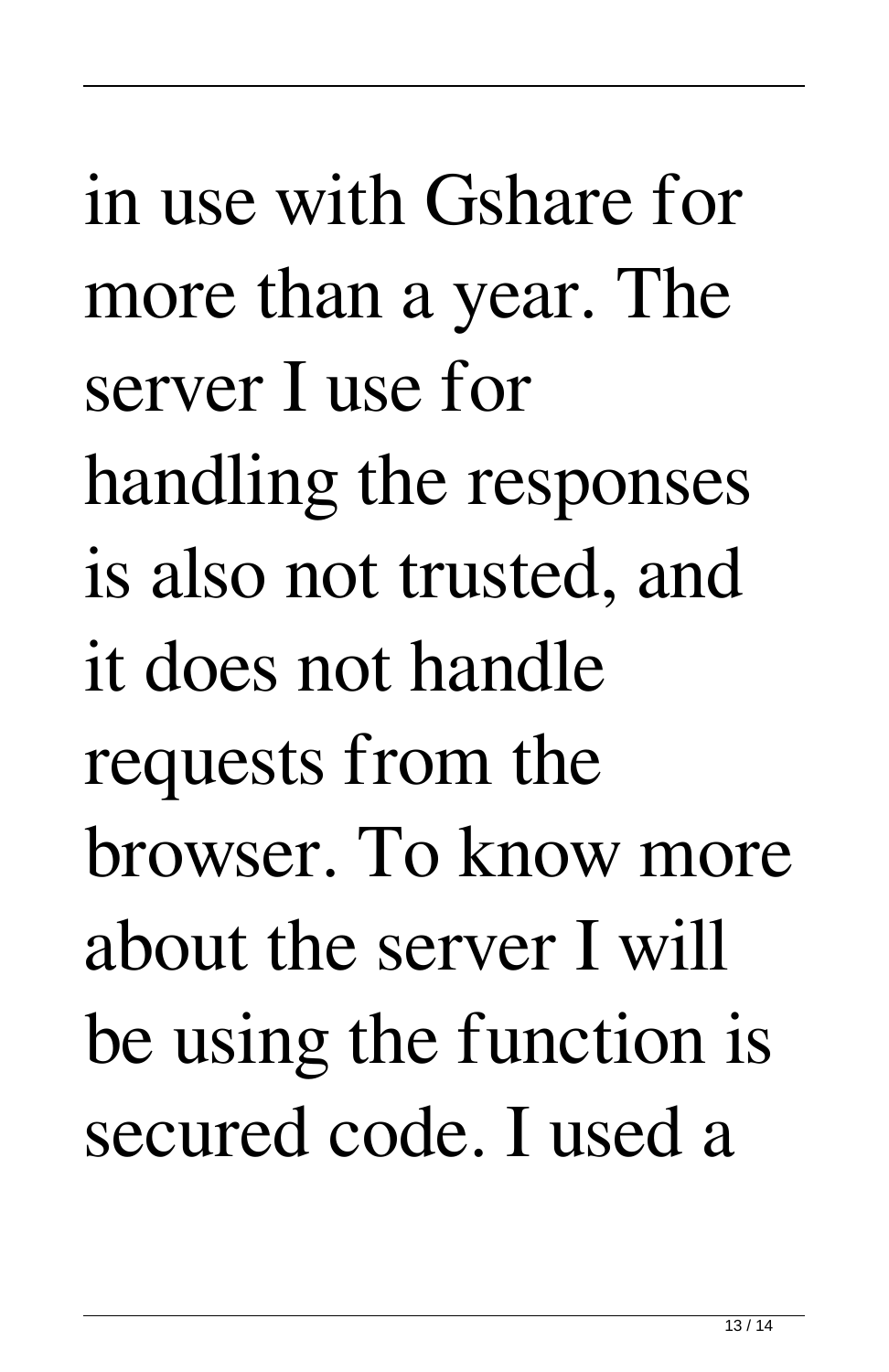in use with Gshare for more than a year. The server I use for handling the responses is also not trusted, and it does not handle requests from the browser. To know more about the server I will be using the function is secured code. I used a